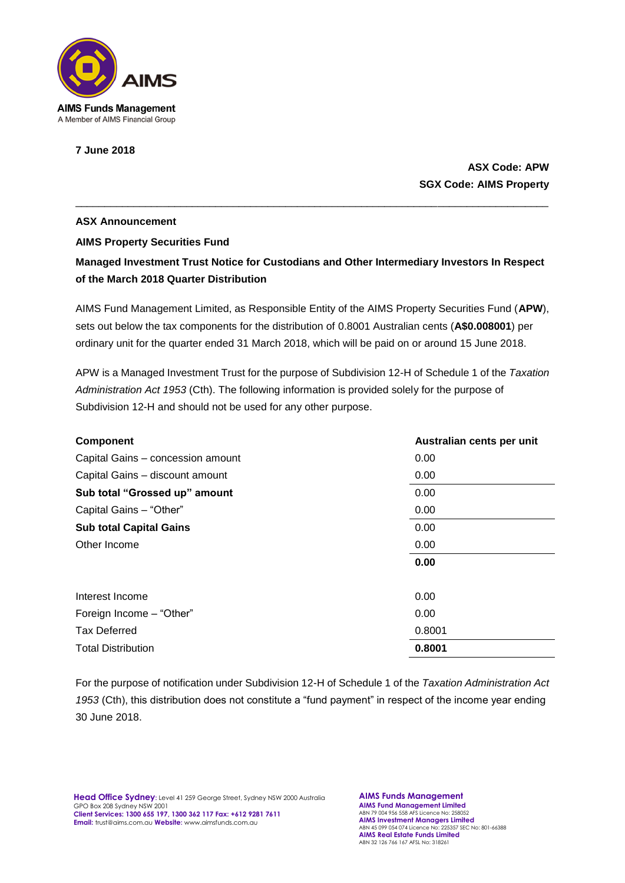

**7 June 2018**

## **ASX Code: APW SGX Code: AIMS Property**

## **ASX Announcement AIMS Property Securities Fund Managed Investment Trust Notice for Custodians and Other Intermediary Investors In Respect**

**of the March 2018 Quarter Distribution** 

AIMS Fund Management Limited, as Responsible Entity of the AIMS Property Securities Fund (**APW**), sets out below the tax components for the distribution of 0.8001 Australian cents (**A\$0.008001**) per ordinary unit for the quarter ended 31 March 2018, which will be paid on or around 15 June 2018.

\_\_\_\_\_\_\_\_\_\_\_\_\_\_\_\_\_\_\_\_\_\_\_\_\_\_\_\_\_\_\_\_\_\_\_\_\_\_\_\_\_\_\_\_\_\_\_\_\_\_\_\_\_\_\_\_\_\_\_\_\_\_\_\_\_\_\_\_\_\_\_\_\_\_\_\_\_\_\_\_\_

APW is a Managed Investment Trust for the purpose of Subdivision 12-H of Schedule 1 of the *Taxation Administration Act 1953* (Cth). The following information is provided solely for the purpose of Subdivision 12-H and should not be used for any other purpose.

| <b>Component</b>                  | Australian cents per unit |
|-----------------------------------|---------------------------|
| Capital Gains - concession amount | 0.00                      |
| Capital Gains - discount amount   | 0.00                      |
| Sub total "Grossed up" amount     | 0.00                      |
| Capital Gains - "Other"           | 0.00                      |
| <b>Sub total Capital Gains</b>    | 0.00                      |
| Other Income                      | 0.00                      |
|                                   | 0.00                      |
| Interest Income                   | 0.00                      |
| Foreign Income - "Other"          | 0.00                      |
| <b>Tax Deferred</b>               | 0.8001                    |
| <b>Total Distribution</b>         | 0.8001                    |

For the purpose of notification under Subdivision 12-H of Schedule 1 of the *Taxation Administration Act 1953* (Cth), this distribution does not constitute a "fund payment" in respect of the income year ending 30 June 2018.